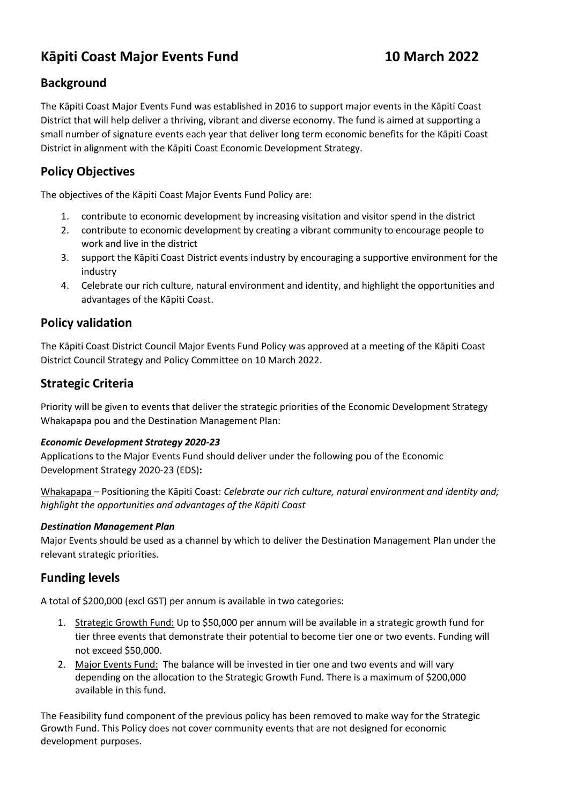# **Kāpiti Coast Major Events Fund 10 March 2022**

# **Background**

The Kāpiti Coast Major Events Fund was established in 2016 to support major events in the Kāpiti Coast District that will help deliver a thriving, vibrant and diverse economy. The fund is aimed at supporting a small number of signature events each year that deliver long term economic benefits for the Kāpiti Coast District in alignment with the Kāpiti Coast Economic Development Strategy.

## **Policy Objectives**

The objectives of the Kāpiti Coast Major Events Fund Policy are:

- 1. contribute to economic development by increasing visitation and visitor spend in the district
- 2. contribute to economic development by creating a vibrant community to encourage people to work and live in the district
- 3. support the Kāpiti Coast District events industry by encouraging a supportive environment for the industry
- 4. Celebrate our rich culture, natural environment and identity, and highlight the opportunities and advantages of the Kāpiti Coast.

### **Policy validation**

The Kāpiti Coast District Council Major Events Fund Policy was approved at a meeting of the Kāpiti Coast District Council Strategy and Policy Committee on 10 March 2022.

### **Strategic Criteria**

Priority will be given to events that deliver the strategic priorities of the Economic Development Strategy Whakapapa pou and the Destination Management Plan:

#### *Economic Development Strategy 2020-23*

Applications to the Major Events Fund should deliver under the following pou of the Economic Development Strategy 2020-23 (EDS)**:**

Whakapapa – Positioning the Kāpiti Coast: *Celebrate our rich culture, natural environment and identity and; highlight the opportunities and advantages of the Kāpiti Coast*

#### *Destination Management Plan*

Major Events should be used as a channel by which to deliver the Destination Management Plan under the relevant strategic priorities.

#### **Funding levels**

A total of \$200,000 (excl GST) per annum is available in two categories:

- 1. Strategic Growth Fund: Up to \$50,000 per annum will be available in a strategic growth fund for tier three events that demonstrate their potential to become tier one or two events. Funding will not exceed \$50,000.
- 2. Major Events Fund: The balance will be invested in tier one and two events and will vary depending on the allocation to the Strategic Growth Fund. There is a maximum of \$200,000 available in this fund.

The Feasibility fund component of the previous policy has been removed to make way for the Strategic Growth Fund. This Policy does not cover community events that are not designed for economic development purposes.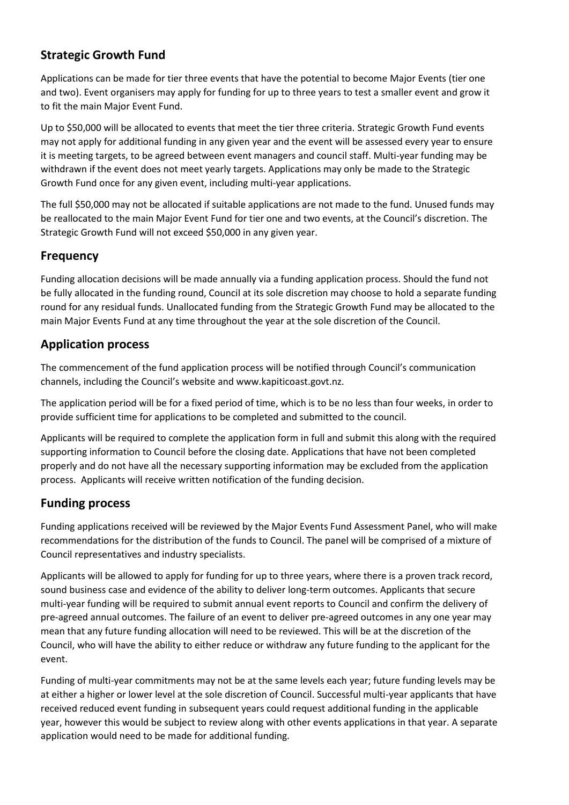# **Strategic Growth Fund**

Applications can be made for tier three events that have the potential to become Major Events (tier one and two). Event organisers may apply for funding for up to three years to test a smaller event and grow it to fit the main Major Event Fund.

Up to \$50,000 will be allocated to events that meet the tier three criteria. Strategic Growth Fund events may not apply for additional funding in any given year and the event will be assessed every year to ensure it is meeting targets, to be agreed between event managers and council staff. Multi-year funding may be withdrawn if the event does not meet yearly targets. Applications may only be made to the Strategic Growth Fund once for any given event, including multi-year applications.

The full \$50,000 may not be allocated if suitable applications are not made to the fund. Unused funds may be reallocated to the main Major Event Fund for tier one and two events, at the Council's discretion. The Strategic Growth Fund will not exceed \$50,000 in any given year.

#### **Frequency**

Funding allocation decisions will be made annually via a funding application process. Should the fund not be fully allocated in the funding round, Council at its sole discretion may choose to hold a separate funding round for any residual funds. Unallocated funding from the Strategic Growth Fund may be allocated to the main Major Events Fund at any time throughout the year at the sole discretion of the Council.

# **Application process**

The commencement of the fund application process will be notified through Council's communication channels, including the Council's website and www.kapiticoast.govt.nz.

The application period will be for a fixed period of time, which is to be no less than four weeks, in order to provide sufficient time for applications to be completed and submitted to the council.

Applicants will be required to complete the application form in full and submit this along with the required supporting information to Council before the closing date. Applications that have not been completed properly and do not have all the necessary supporting information may be excluded from the application process. Applicants will receive written notification of the funding decision.

#### **Funding process**

Funding applications received will be reviewed by the Major Events Fund Assessment Panel, who will make recommendations for the distribution of the funds to Council. The panel will be comprised of a mixture of Council representatives and industry specialists.

Applicants will be allowed to apply for funding for up to three years, where there is a proven track record, sound business case and evidence of the ability to deliver long-term outcomes. Applicants that secure multi-year funding will be required to submit annual event reports to Council and confirm the delivery of pre-agreed annual outcomes. The failure of an event to deliver pre-agreed outcomes in any one year may mean that any future funding allocation will need to be reviewed. This will be at the discretion of the Council, who will have the ability to either reduce or withdraw any future funding to the applicant for the event.

Funding of multi-year commitments may not be at the same levels each year; future funding levels may be at either a higher or lower level at the sole discretion of Council. Successful multi-year applicants that have received reduced event funding in subsequent years could request additional funding in the applicable year, however this would be subject to review along with other events applications in that year. A separate application would need to be made for additional funding.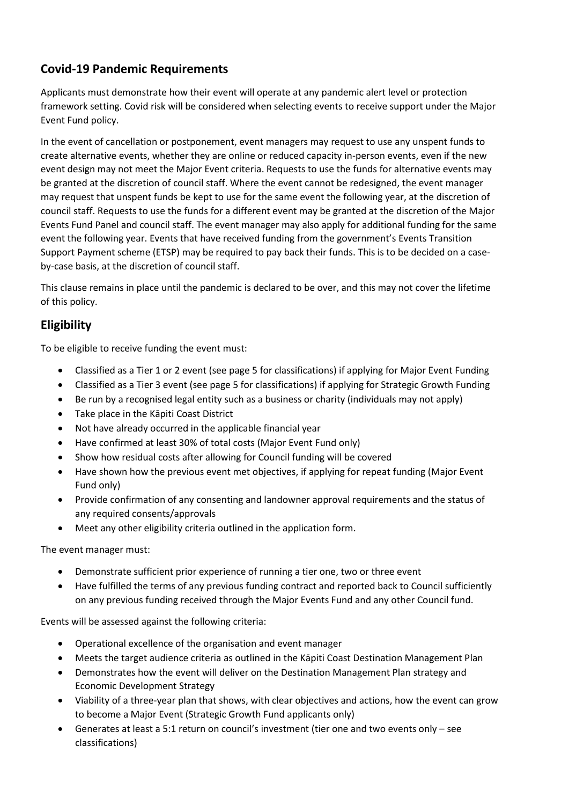# **Covid-19 Pandemic Requirements**

Applicants must demonstrate how their event will operate at any pandemic alert level or protection framework setting. Covid risk will be considered when selecting events to receive support under the Major Event Fund policy.

In the event of cancellation or postponement, event managers may request to use any unspent funds to create alternative events, whether they are online or reduced capacity in-person events, even if the new event design may not meet the Major Event criteria. Requests to use the funds for alternative events may be granted at the discretion of council staff. Where the event cannot be redesigned, the event manager may request that unspent funds be kept to use for the same event the following year, at the discretion of council staff. Requests to use the funds for a different event may be granted at the discretion of the Major Events Fund Panel and council staff. The event manager may also apply for additional funding for the same event the following year. Events that have received funding from the government's Events Transition Support Payment scheme (ETSP) may be required to pay back their funds. This is to be decided on a caseby-case basis, at the discretion of council staff.

This clause remains in place until the pandemic is declared to be over, and this may not cover the lifetime of this policy.

# **Eligibility**

To be eligible to receive funding the event must:

- Classified as a Tier 1 or 2 event (see page 5 for classifications) if applying for Major Event Funding
- Classified as a Tier 3 event (see page 5 for classifications) if applying for Strategic Growth Funding
- Be run by a recognised legal entity such as a business or charity (individuals may not apply)
- Take place in the Kāpiti Coast District
- Not have already occurred in the applicable financial year
- Have confirmed at least 30% of total costs (Major Event Fund only)
- Show how residual costs after allowing for Council funding will be covered
- Have shown how the previous event met objectives, if applying for repeat funding (Major Event Fund only)
- Provide confirmation of any consenting and landowner approval requirements and the status of any required consents/approvals
- Meet any other eligibility criteria outlined in the application form.

The event manager must:

- Demonstrate sufficient prior experience of running a tier one, two or three event
- Have fulfilled the terms of any previous funding contract and reported back to Council sufficiently on any previous funding received through the Major Events Fund and any other Council fund.

Events will be assessed against the following criteria:

- Operational excellence of the organisation and event manager
- Meets the target audience criteria as outlined in the Kāpiti Coast Destination Management Plan
- Demonstrates how the event will deliver on the Destination Management Plan strategy and Economic Development Strategy
- Viability of a three-year plan that shows, with clear objectives and actions, how the event can grow to become a Major Event (Strategic Growth Fund applicants only)
- Generates at least a 5:1 return on council's investment (tier one and two events only see classifications)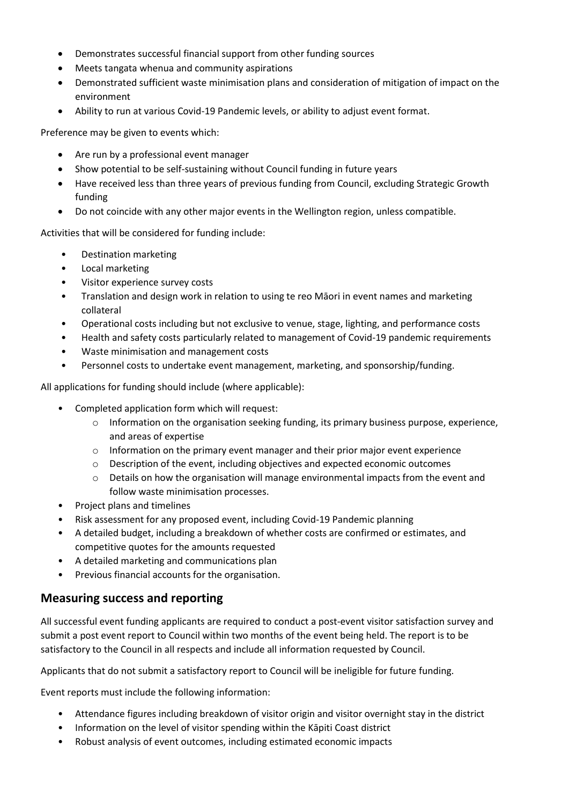- Demonstrates successful financial support from other funding sources
- Meets tangata whenua and community aspirations
- Demonstrated sufficient waste minimisation plans and consideration of mitigation of impact on the environment
- Ability to run at various Covid-19 Pandemic levels, or ability to adjust event format.

Preference may be given to events which:

- Are run by a professional event manager
- Show potential to be self-sustaining without Council funding in future years
- Have received less than three years of previous funding from Council, excluding Strategic Growth funding
- Do not coincide with any other major events in the Wellington region, unless compatible.

Activities that will be considered for funding include:

- Destination marketing
- Local marketing
- Visitor experience survey costs
- Translation and design work in relation to using te reo Māori in event names and marketing collateral
- Operational costs including but not exclusive to venue, stage, lighting, and performance costs
- Health and safety costs particularly related to management of Covid-19 pandemic requirements
- Waste minimisation and management costs
- Personnel costs to undertake event management, marketing, and sponsorship/funding.

All applications for funding should include (where applicable):

- Completed application form which will request:
	- $\circ$  Information on the organisation seeking funding, its primary business purpose, experience, and areas of expertise
	- $\circ$  Information on the primary event manager and their prior major event experience
	- o Description of the event, including objectives and expected economic outcomes
	- $\circ$  Details on how the organisation will manage environmental impacts from the event and follow waste minimisation processes.
- Project plans and timelines
- Risk assessment for any proposed event, including Covid-19 Pandemic planning
- A detailed budget, including a breakdown of whether costs are confirmed or estimates, and competitive quotes for the amounts requested
- A detailed marketing and communications plan
- Previous financial accounts for the organisation.

#### **Measuring success and reporting**

All successful event funding applicants are required to conduct a post-event visitor satisfaction survey and submit a post event report to Council within two months of the event being held. The report is to be satisfactory to the Council in all respects and include all information requested by Council.

Applicants that do not submit a satisfactory report to Council will be ineligible for future funding.

Event reports must include the following information:

- Attendance figures including breakdown of visitor origin and visitor overnight stay in the district
- Information on the level of visitor spending within the Kāpiti Coast district
- Robust analysis of event outcomes, including estimated economic impacts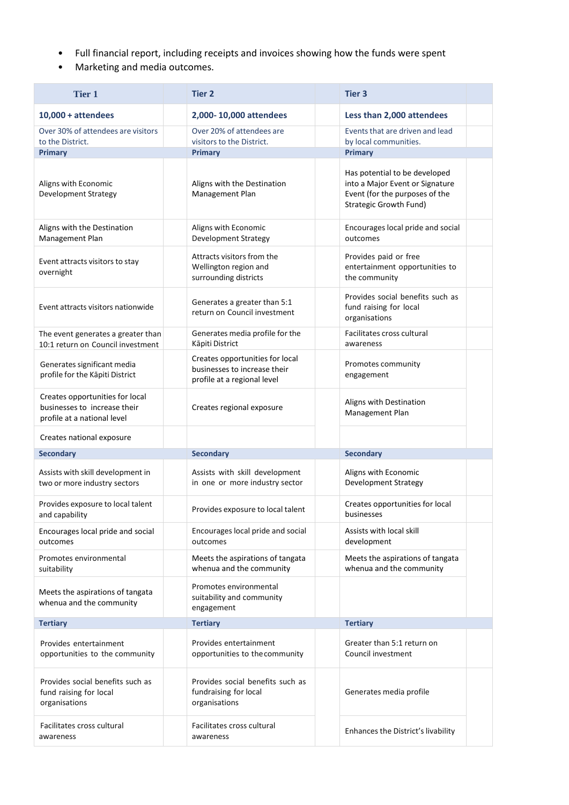- Full financial report, including receipts and invoices showing how the funds were spent
- Marketing and media outcomes.

| <b>Tier 1</b>                                                                                  | <b>Tier 2</b>                                                                                  | <b>Tier 3</b>                                                                                                                       |
|------------------------------------------------------------------------------------------------|------------------------------------------------------------------------------------------------|-------------------------------------------------------------------------------------------------------------------------------------|
| $10,000 + attendees$                                                                           | 2,000-10,000 attendees                                                                         | Less than 2,000 attendees                                                                                                           |
| Over 30% of attendees are visitors<br>to the District.                                         | Over 20% of attendees are<br>visitors to the District.                                         | Events that are driven and lead<br>by local communities.                                                                            |
| <b>Primary</b>                                                                                 | <b>Primary</b>                                                                                 | Primary                                                                                                                             |
| Aligns with Economic<br><b>Development Strategy</b>                                            | Aligns with the Destination<br>Management Plan                                                 | Has potential to be developed<br>into a Major Event or Signature<br>Event (for the purposes of the<br><b>Strategic Growth Fund)</b> |
| Aligns with the Destination<br>Management Plan                                                 | Aligns with Economic<br><b>Development Strategy</b>                                            | Encourages local pride and social<br>outcomes                                                                                       |
| Event attracts visitors to stay<br>overnight                                                   | Attracts visitors from the<br>Wellington region and<br>surrounding districts                   | Provides paid or free<br>entertainment opportunities to<br>the community                                                            |
| Event attracts visitors nationwide                                                             | Generates a greater than 5:1<br>return on Council investment                                   | Provides social benefits such as<br>fund raising for local<br>organisations                                                         |
| The event generates a greater than<br>10:1 return on Council investment                        | Generates media profile for the<br>Kāpiti District                                             | Facilitates cross cultural<br>awareness                                                                                             |
| Generates significant media<br>profile for the Kāpiti District                                 | Creates opportunities for local<br>businesses to increase their<br>profile at a regional level | Promotes community<br>engagement                                                                                                    |
| Creates opportunities for local<br>businesses to increase their<br>profile at a national level | Creates regional exposure                                                                      | Aligns with Destination<br>Management Plan                                                                                          |
| Creates national exposure                                                                      |                                                                                                |                                                                                                                                     |
| <b>Secondary</b>                                                                               | <b>Secondary</b>                                                                               | <b>Secondary</b>                                                                                                                    |
| Assists with skill development in<br>two or more industry sectors                              | Assists with skill development<br>in one or more industry sector                               | Aligns with Economic<br><b>Development Strategy</b>                                                                                 |
| Provides exposure to local talent<br>and capability                                            | Provides exposure to local talent                                                              | Creates opportunities for local<br>businesses                                                                                       |
| Encourages local pride and social<br>outcomes                                                  | Encourages local pride and social<br>outcomes                                                  | Assists with local skill<br>development                                                                                             |
| Promotes environmental<br>suitability                                                          | Meets the aspirations of tangata<br>whenua and the community                                   | Meets the aspirations of tangata<br>whenua and the community                                                                        |
| Meets the aspirations of tangata<br>whenua and the community                                   | Promotes environmental<br>suitability and community<br>engagement                              |                                                                                                                                     |
| <b>Tertiary</b>                                                                                | <b>Tertiary</b>                                                                                | <b>Tertiary</b>                                                                                                                     |
| Provides entertainment<br>opportunities to the community                                       | Provides entertainment<br>opportunities to the community                                       | Greater than 5:1 return on<br>Council investment                                                                                    |
| Provides social benefits such as                                                               |                                                                                                |                                                                                                                                     |
| fund raising for local<br>organisations                                                        | Provides social benefits such as<br>fundraising for local<br>organisations                     | Generates media profile                                                                                                             |